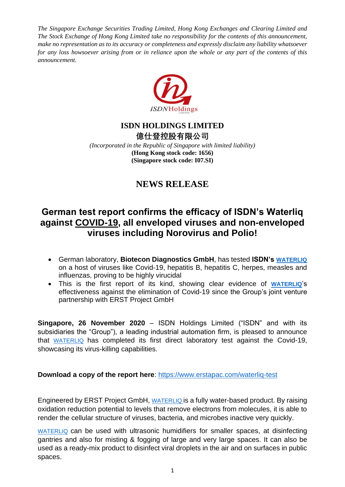*The Singapore Exchange Securities Trading Limited, Hong Kong Exchanges and Clearing Limited and The Stock Exchange of Hong Kong Limited take no responsibility for the contents of this announcement, make no representation as to its accuracy or completeness and expressly disclaim any liability whatsoever for any loss howsoever arising from or in reliance upon the whole or any part of the contents of this announcement.*



### **ISDN HOLDINGS LIMITED**

**億仕登控股有限公司** *(Incorporated in the Republic of Singapore with limited liability)* **(Hong Kong stock code: 1656) (Singapore stock code: I07.SI)**

## **NEWS RELEASE**

# **German test report confirms the efficacy of ISDN's Waterliq against COVID-19, all enveloped viruses and non-enveloped viruses including Norovirus and Polio!**

- German laboratory, **Biotecon Diagnostics GmbH**, has tested **ISDN's [WATERLIQ](https://www.dropbox.com/sh/ol8gtvl1fwtt2i1/AADxiYoJQhZvY1ZoKYOIYZVla?dl=0)** on a host of viruses like Covid-19, hepatitis B, hepatitis C, herpes, measles and influenzas, proving to be highly virucidal
- This is the first report of its kind, showing clear evidence of **[WATERLIQ](https://www.dropbox.com/sh/ol8gtvl1fwtt2i1/AADxiYoJQhZvY1ZoKYOIYZVla?dl=0)**'s effectiveness against the elimination of Covid-19 since the Group's joint venture partnership with ERST Project GmbH

**Singapore, 26 November 2020** – ISDN Holdings Limited ("ISDN" and with its subsidiaries the "Group"), a leading industrial automation firm, is pleased to announce that [WATERLIQ](https://www.dropbox.com/sh/ol8gtvl1fwtt2i1/AADxiYoJQhZvY1ZoKYOIYZVla?dl=0) has completed its first direct laboratory test against the Covid-19, showcasing its virus-killing capabilities.

### **Download a copy of the report here:<https://www.erstapac.com/waterliq-test>**

Engineered by ERST Project GmbH, [WATERLIQ](https://www.dropbox.com/sh/ol8gtvl1fwtt2i1/AADxiYoJQhZvY1ZoKYOIYZVla?dl=0) is a fully water-based product. By raising oxidation reduction potential to levels that remove electrons from molecules, it is able to render the cellular structure of viruses, bacteria, and microbes inactive very quickly.

[WATERLIQ](https://www.dropbox.com/sh/ol8gtvl1fwtt2i1/AADxiYoJQhZvY1ZoKYOIYZVla?dl=0) can be used with ultrasonic humidifiers for smaller spaces, at disinfecting gantries and also for misting & fogging of large and very large spaces. It can also be used as a ready-mix product to disinfect viral droplets in the air and on surfaces in public spaces.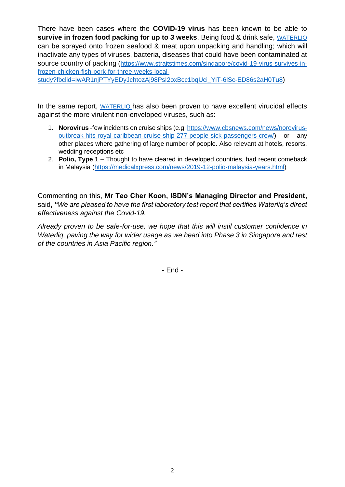There have been cases where the **COVID-19 virus** has been known to be able to **survive in frozen food packing for up to 3 weeks**. Being food & drink safe, [WATERLIQ](https://www.dropbox.com/sh/ol8gtvl1fwtt2i1/AADxiYoJQhZvY1ZoKYOIYZVla?dl=0) can be sprayed onto frozen seafood & meat upon unpacking and handling; which will inactivate any types of viruses, bacteria, diseases that could have been contaminated at source country of packing ([https://www.straitstimes.com/singapore/covid-19-virus-survives-in](https://www.straitstimes.com/singapore/covid-19-virus-survives-in-frozen-chicken-fish-pork-for-three-weeks-local-study?fbclid=IwAR1njPTYyEDyJchtozAj98PsI2oxBcc1bqUci_YiT-6lSc-ED86s2aH0Tu8)[frozen-chicken-fish-pork-for-three-weeks-local-](https://www.straitstimes.com/singapore/covid-19-virus-survives-in-frozen-chicken-fish-pork-for-three-weeks-local-study?fbclid=IwAR1njPTYyEDyJchtozAj98PsI2oxBcc1bqUci_YiT-6lSc-ED86s2aH0Tu8)

[study?fbclid=IwAR1njPTYyEDyJchtozAj98PsI2oxBcc1bqUci\\_YiT-6lSc-ED86s2aH0Tu8](https://www.straitstimes.com/singapore/covid-19-virus-survives-in-frozen-chicken-fish-pork-for-three-weeks-local-study?fbclid=IwAR1njPTYyEDyJchtozAj98PsI2oxBcc1bqUci_YiT-6lSc-ED86s2aH0Tu8))

In the same report, [WATERLIQ](https://www.dropbox.com/sh/ol8gtvl1fwtt2i1/AADxiYoJQhZvY1ZoKYOIYZVla?dl=0) has also been proven to have excellent virucidal effects against the more virulent non-enveloped viruses, such as:

- 1. **Norovirus** -few incidents on cruise ships (e.g. [https://www.cbsnews.com/news/norovirus](https://www.cbsnews.com/news/norovirus-outbreak-hits-royal-caribbean-cruise-ship-277-people-sick-passengers-crew/)[outbreak-hits-royal-caribbean-cruise-ship-277-people-sick-passengers-crew/\)](https://www.cbsnews.com/news/norovirus-outbreak-hits-royal-caribbean-cruise-ship-277-people-sick-passengers-crew/) or any other places where gathering of large number of people. Also relevant at hotels, resorts, wedding receptions etc
- 2. **Polio, Type 1**  Thought to have cleared in developed countries, had recent comeback in Malaysia [\(https://medicalxpress.com/news/2019-12-polio-malaysia-years.html\)](https://medicalxpress.com/news/2019-12-polio-malaysia-years.html)

Commenting on this, **Mr Teo Cher Koon, ISDN's Managing Director and President,**  said**,** *"We are pleased to have the first laboratory test report that certifies Waterliq's direct effectiveness against the Covid-19.* 

*Already proven to be safe-for-use, we hope that this will instil customer confidence in Waterlig, paving the way for wider usage as we head into Phase 3 in Singapore and rest of the countries in Asia Pacific region."*

- End -